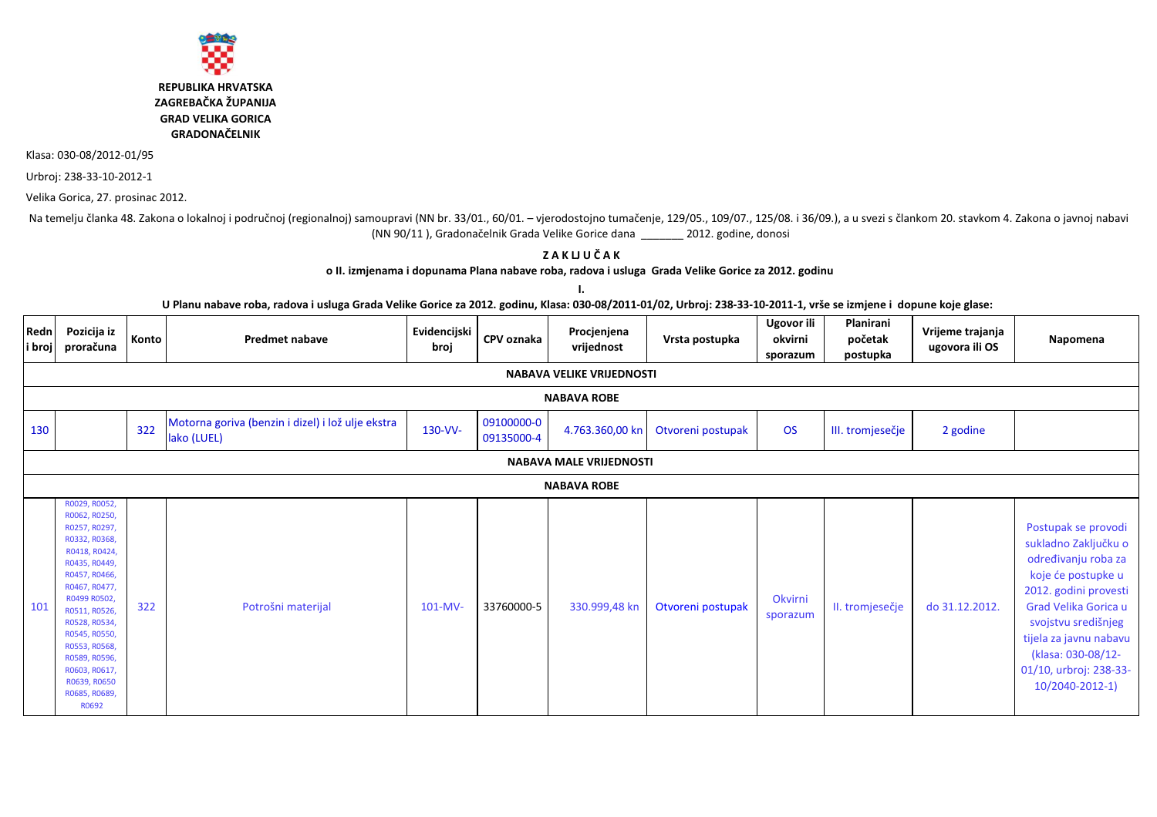

**REPUBLIKA HRVATSKA** ZAGREBAČKA ŽUPANIJA **GRAD VELIKA GORICA GRADONAČELNIK** 

Klasa: 030-08/2012-01/95

Urbroj: 238-33-10-2012-1

Velika Gorica, 27. prosinac 2012.

Na temelju članka 48. Zakona o lokalnoj i područnoj (regionalnoj) samoupravi (NN br. 33/01., 60/01. - vjerodostojno tumačenje, 129/05., 109/07., 125/08. i 36/09.), a u svezi s člankom 20. stavkom 4. Zakona o javnoj nabavi (NN 90/11), Gradonačelnik Grada Velike Gorice dana \_\_\_\_\_\_\_ 2012. godine, donosi

> ZAKUUČAK o II. izmjenama i dopunama Plana nabave roba, radova i usluga Grada Velike Gorice za 2012. godinu

> > $\mathbf{I}$ .

U Planu nabave roba, radova i usluga Grada Velike Gorice za 2012. godinu, Klasa: 030-08/2011-01/02, Urbroj: 238-33-10-2011-1, vrše se izmjene i dopune koje glase:

| Redn               | Pozicija iz<br>i broj <b>proračuna</b>                                                                                                                                                                                                                                                               | Konto | <b>Predmet nabave</b>                                            | Evidencijski<br>broj | CPV oznaka               | Procjenjena<br>vrijednost      | Vrsta postupka    | Ugovor ili<br>okvirni<br>sporazum | Planirani<br>početak<br>postupka | Vrijeme trajanja<br>ugovora ili OS | Napomena                                                                                                                                                                                                                                                      |  |
|--------------------|------------------------------------------------------------------------------------------------------------------------------------------------------------------------------------------------------------------------------------------------------------------------------------------------------|-------|------------------------------------------------------------------|----------------------|--------------------------|--------------------------------|-------------------|-----------------------------------|----------------------------------|------------------------------------|---------------------------------------------------------------------------------------------------------------------------------------------------------------------------------------------------------------------------------------------------------------|--|
|                    | <b>NABAVA VELIKE VRIJEDNOSTI</b>                                                                                                                                                                                                                                                                     |       |                                                                  |                      |                          |                                |                   |                                   |                                  |                                    |                                                                                                                                                                                                                                                               |  |
| <b>NABAVA ROBE</b> |                                                                                                                                                                                                                                                                                                      |       |                                                                  |                      |                          |                                |                   |                                   |                                  |                                    |                                                                                                                                                                                                                                                               |  |
| 130                |                                                                                                                                                                                                                                                                                                      | 322   | Motorna goriva (benzin i dizel) i lož ulje ekstra<br>lako (LUEL) | 130-VV-              | 09100000-0<br>09135000-4 | 4.763.360,00 kn                | Otvoreni postupak | <b>OS</b>                         | III. tromjesečje                 | 2 godine                           |                                                                                                                                                                                                                                                               |  |
|                    |                                                                                                                                                                                                                                                                                                      |       |                                                                  |                      |                          | <b>NABAVA MALE VRIJEDNOSTI</b> |                   |                                   |                                  |                                    |                                                                                                                                                                                                                                                               |  |
|                    |                                                                                                                                                                                                                                                                                                      |       |                                                                  |                      |                          | <b>NABAVA ROBE</b>             |                   |                                   |                                  |                                    |                                                                                                                                                                                                                                                               |  |
| 101                | R0029, R0052,<br>R0062, R0250,<br>R0257, R0297,<br>R0332, R0368,<br>R0418, R0424,<br>R0435, R0449,<br>R0457, R0466,<br>R0467, R0477,<br>R0499 R0502,<br>R0511, R0526,<br>R0528, R0534,<br>R0545, R0550,<br>R0553, R0568,<br>R0589, R0596,<br>R0603, R0617,<br>R0639, R0650<br>R0685, R0689,<br>R0692 | 322   | Potrošni materijal                                               | $101-MV-$            | 33760000-5               | 330.999,48 kn                  | Otvoreni postupak | Okvirni<br>sporazum               | II. tromjesečje                  | do 31.12.2012.                     | Postupak se provodi<br>sukladno Zaključku o<br>određivanju roba za<br>koje će postupke u<br>2012. godini provesti<br>Grad Velika Gorica u<br>svojstvu središnjeg<br>tijela za javnu nabavu<br>(klasa: 030-08/12-<br>01/10, urbroj: 238-33-<br>10/2040-2012-1) |  |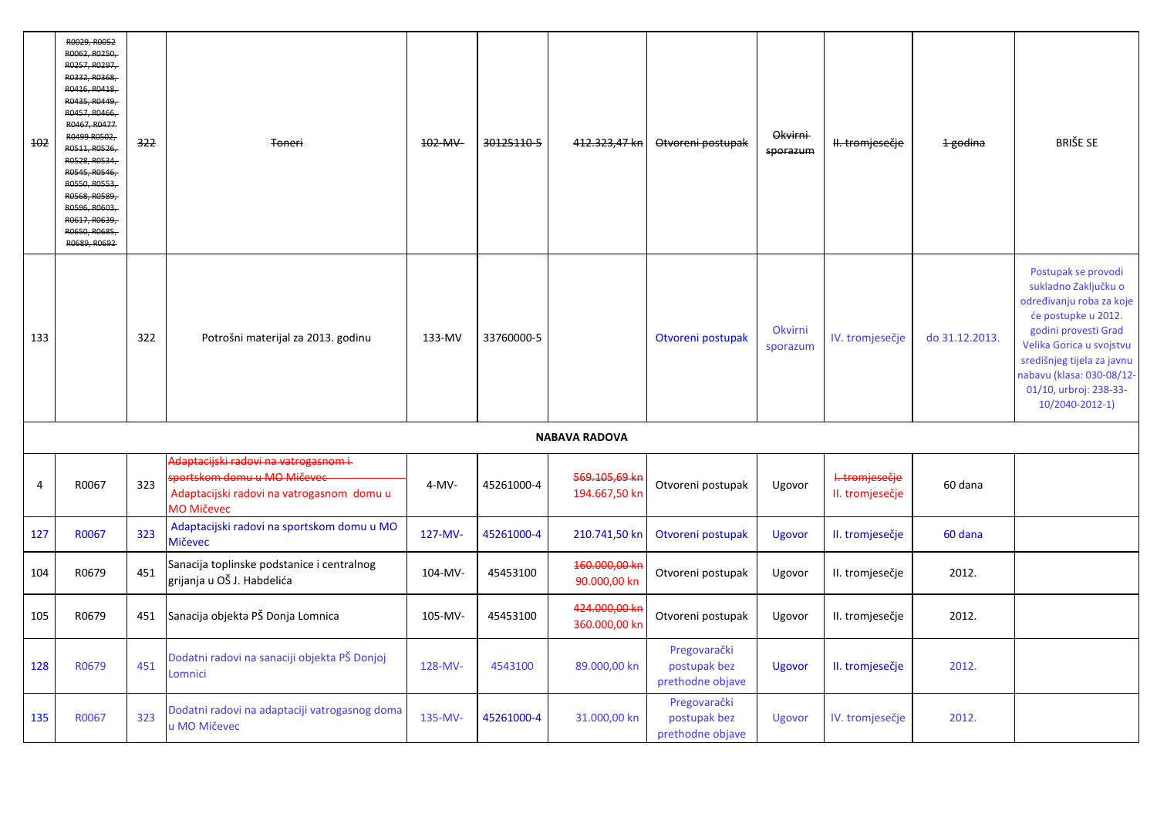| 102 | R0029, R0052<br>R0062, R0250.<br>R0257, R0297.<br>R0332, R0368,<br>R0416, R0418.<br>R0435, R0449.<br>R0457, R0466.<br>R0467, R0477<br>R0499 R0502.<br>R0511, R0526<br>R0528, R0534<br>R0545, R0546.<br>R0550, R0553.<br><b>RO568, RO589</b><br>R0596, R0603.<br>R0617, R0639.<br>R0650, R0685.<br>R0689, R0692 | 322 | Toneri                                                                                                                                            | 102-MV-  | 30125110-5 | 412.323,47 kn                  | Otvoreni postupak                                | <b>Okvirni</b><br>sporazum | <del>II. tromjesečje</del>        | 1 godina       | <b>BRIŠE SE</b>                                                                                                                                                                                                                                            |
|-----|----------------------------------------------------------------------------------------------------------------------------------------------------------------------------------------------------------------------------------------------------------------------------------------------------------------|-----|---------------------------------------------------------------------------------------------------------------------------------------------------|----------|------------|--------------------------------|--------------------------------------------------|----------------------------|-----------------------------------|----------------|------------------------------------------------------------------------------------------------------------------------------------------------------------------------------------------------------------------------------------------------------------|
| 133 |                                                                                                                                                                                                                                                                                                                | 322 | Potrošni materijal za 2013. godinu                                                                                                                | 133-MV   | 33760000-5 |                                | Otvoreni postupak                                | Okvirni<br>sporazum        | IV. tromjesečje                   | do 31.12.2013. | Postupak se provodi<br>sukladno Zaključku o<br>određivanju roba za koje<br>će postupke u 2012.<br>godini provesti Grad<br>Velika Gorica u svojstvu<br>središnjeg tijela za javnu<br>nabavu (klasa: 030-08/12-<br>01/10, urbroj: 238-33-<br>10/2040-2012-1) |
|     |                                                                                                                                                                                                                                                                                                                |     |                                                                                                                                                   |          |            | <b>NABAVA RADOVA</b>           |                                                  |                            |                                   |                |                                                                                                                                                                                                                                                            |
| 4   | R0067                                                                                                                                                                                                                                                                                                          | 323 | Adaptacijski radovi na vatrogasnom i-<br>s <del>portskom domu u MO Mičeve</del><br>Adaptacijski radovi na vatrogasnom domu u<br><b>MO Mičevec</b> | $4-MV -$ | 45261000-4 | 569.105.69 ki<br>194.667,50 kn | Otvoreni postupak                                | Ugovor                     | I. tromjesečje<br>II. tromjesečje | 60 dana        |                                                                                                                                                                                                                                                            |
| 127 | R0067                                                                                                                                                                                                                                                                                                          | 323 | Adaptacijski radovi na sportskom domu u MO<br><b>Mičevec</b>                                                                                      | 127-MV-  | 45261000-4 | 210.741,50 kn                  | Otvoreni postupak                                | Ugovor                     | II. tromjesečje                   | 60 dana        |                                                                                                                                                                                                                                                            |
| 104 | R0679                                                                                                                                                                                                                                                                                                          | 451 | Sanacija toplinske podstanice i centralnog<br>grijanja u OŠ J. Habdelića                                                                          | 104-MV-  | 45453100   | 160.000,00 ki<br>90.000,00 kn  | Otvoreni postupak                                | Ugovor                     | II. tromjesečje                   | 2012.          |                                                                                                                                                                                                                                                            |
| 105 | R0679                                                                                                                                                                                                                                                                                                          | 451 | Sanacija objekta PŠ Donja Lomnica                                                                                                                 | 105-MV-  | 45453100   | 424.000,00 k<br>360.000,00 kr  | Otvoreni postupak                                | Ugovor                     | II. tromjesečje                   | 2012.          |                                                                                                                                                                                                                                                            |
| 128 | R0679                                                                                                                                                                                                                                                                                                          | 451 | Dodatni radovi na sanaciji objekta PŠ Donjoj<br>Lomnici                                                                                           | 128-MV-  | 4543100    | 89.000,00 kn                   | Pregovarački<br>postupak bez<br>prethodne objave | Ugovor                     | II. tromjesečje                   | 2012.          |                                                                                                                                                                                                                                                            |
| 135 | R0067                                                                                                                                                                                                                                                                                                          | 323 | Dodatni radovi na adaptaciji vatrogasnog doma<br>u MO Mičevec                                                                                     | 135-MV-  | 45261000-4 | 31.000,00 kn                   | Pregovarački<br>postupak bez<br>prethodne objave | Ugovor                     | IV. tromjesečje                   | 2012.          |                                                                                                                                                                                                                                                            |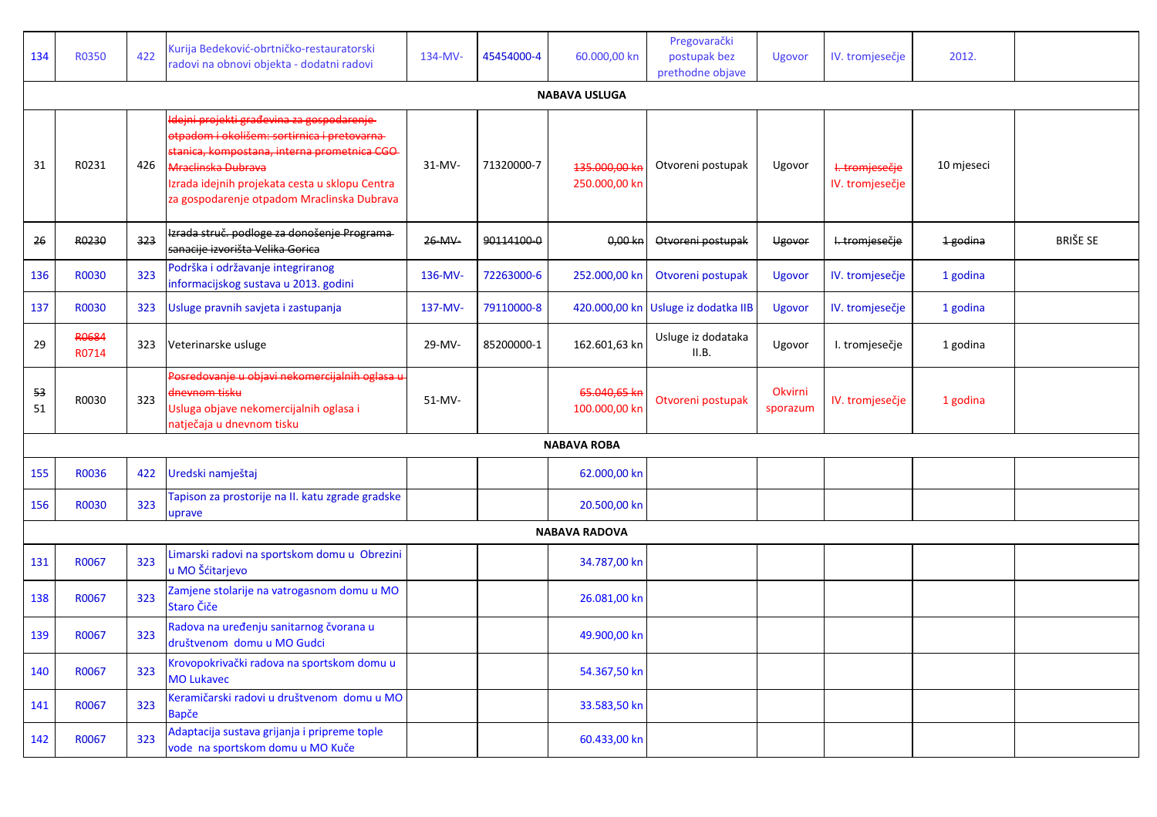| 134      | <b>R0350</b>          | 422 | Kurija Bedeković-obrtničko-restauratorski<br>radovi na obnovi objekta - dodatni radovi                                                                                                                                                                                        | 134-MV-   | 45454000-4 | 60.000,00 kn                   | Pregovarački<br>postupak bez<br>prethodne objave | Ugovor              | IV. tromjesečje                   | 2012.      |                 |
|----------|-----------------------|-----|-------------------------------------------------------------------------------------------------------------------------------------------------------------------------------------------------------------------------------------------------------------------------------|-----------|------------|--------------------------------|--------------------------------------------------|---------------------|-----------------------------------|------------|-----------------|
|          |                       |     |                                                                                                                                                                                                                                                                               |           |            | <b>NABAVA USLUGA</b>           |                                                  |                     |                                   |            |                 |
| 31       | R0231                 | 426 | <u>ldejni projekti građevina za gospodarenje-</u><br>otpadom i okolišem: sortirnica i pretovarna-<br>stanica, kompostana, interna prometnica CGO<br><b>Mraclinska Dubrava</b><br>Izrada idejnih projekata cesta u sklopu Centra<br>za gospodarenje otpadom Mraclinska Dubrava | $31-MV -$ | 71320000-7 | 135.000,00 kr<br>250.000,00 kn | Otvoreni postupak                                | Ugovor              | I. tromjesečje<br>IV. tromjesečje | 10 mjeseci |                 |
| 26       | R0230                 | 323 | Izrada struč. podloge za donošenje Programa-<br>sanacije izvorišta Velika Gorica                                                                                                                                                                                              | 26-MV-    | 90114100-0 | $0,00$ kn                      | Otvoreni postupak                                | Ugovor              | I. tromjesečje                    | 1 godina   | <b>BRIŠE SE</b> |
| 136      | R0030                 | 323 | Podrška i održavanje integriranog<br>informacijskog sustava u 2013. godini                                                                                                                                                                                                    | 136-MV-   | 72263000-6 | 252.000,00 kn                  | Otvoreni postupak                                | <b>Ugovor</b>       | IV. tromjesečje                   | 1 godina   |                 |
| 137      | R0030                 | 323 | Usluge pravnih savjeta i zastupanja                                                                                                                                                                                                                                           | 137-MV-   | 79110000-8 |                                | 420.000,00 kn Usluge iz dodatka IIB              | Ugovor              | IV. tromjesečje                   | 1 godina   |                 |
| 29       | <b>R0684</b><br>R0714 | 323 | Veterinarske usluge                                                                                                                                                                                                                                                           | 29-MV-    | 85200000-1 | 162.601,63 kn                  | Usluge iz dodataka<br>II.B.                      | Ugovor              | I. tromjesečje                    | 1 godina   |                 |
| 53<br>51 | R0030                 | 323 | Posredovanje u objavi nekomercijalnih oglasa u<br>dnevnom tisku<br>Usluga objave nekomercijalnih oglasa i<br>natječaja u dnevnom tisku                                                                                                                                        | 51-MV-    |            | 65.040,65 kr<br>100.000,00 kn  | Otvoreni postupak                                | Okvirni<br>sporazum | IV. tromjesečje                   | 1 godina   |                 |
|          |                       |     |                                                                                                                                                                                                                                                                               |           |            | <b>NABAVA ROBA</b>             |                                                  |                     |                                   |            |                 |
| 155      | R0036                 | 422 | Uredski namještaj                                                                                                                                                                                                                                                             |           |            | 62.000,00 kn                   |                                                  |                     |                                   |            |                 |
| 156      | R0030                 | 323 | Tapison za prostorije na II. katu zgrade gradske<br>uprave                                                                                                                                                                                                                    |           |            | 20.500,00 kn                   |                                                  |                     |                                   |            |                 |
|          |                       |     |                                                                                                                                                                                                                                                                               |           |            | <b>NABAVA RADOVA</b>           |                                                  |                     |                                   |            |                 |
| 131      | R0067                 | 323 | Limarski radovi na sportskom domu u Obrezini<br>u MO Šćitarjevo                                                                                                                                                                                                               |           |            | 34.787,00 kn                   |                                                  |                     |                                   |            |                 |
| 138      | R0067                 | 323 | Zamjene stolarije na vatrogasnom domu u MO<br>Staro Čiče                                                                                                                                                                                                                      |           |            | 26.081,00 kn                   |                                                  |                     |                                   |            |                 |
| 139      | R0067                 | 323 | Radova na uređenju sanitarnog čvorana u<br>društvenom domu u MO Gudci                                                                                                                                                                                                         |           |            | 49.900,00 kn                   |                                                  |                     |                                   |            |                 |
| 140      | R0067                 | 323 | Krovopokrivački radova na sportskom domu u<br><b>MO Lukavec</b>                                                                                                                                                                                                               |           |            | 54.367,50 kn                   |                                                  |                     |                                   |            |                 |
| 141      | R0067                 | 323 | Keramičarski radovi u društvenom domu u MO<br><b>Bapče</b>                                                                                                                                                                                                                    |           |            | 33.583,50 kn                   |                                                  |                     |                                   |            |                 |
| 142      | R0067                 | 323 | Adaptacija sustava grijanja i pripreme tople<br>vode na sportskom domu u MO Kuče                                                                                                                                                                                              |           |            | 60.433,00 kn                   |                                                  |                     |                                   |            |                 |